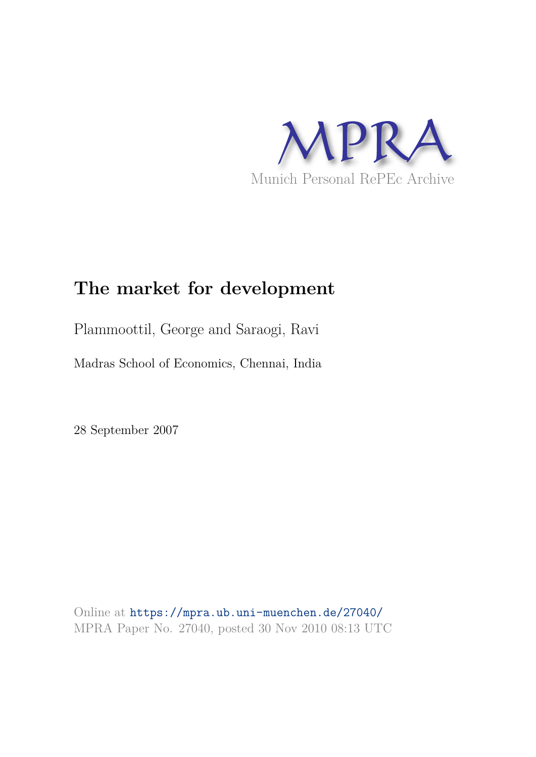

### **The market for development**

Plammoottil, George and Saraogi, Ravi

Madras School of Economics, Chennai, India

28 September 2007

Online at https://mpra.ub.uni-muenchen.de/27040/ MPRA Paper No. 27040, posted 30 Nov 2010 08:13 UTC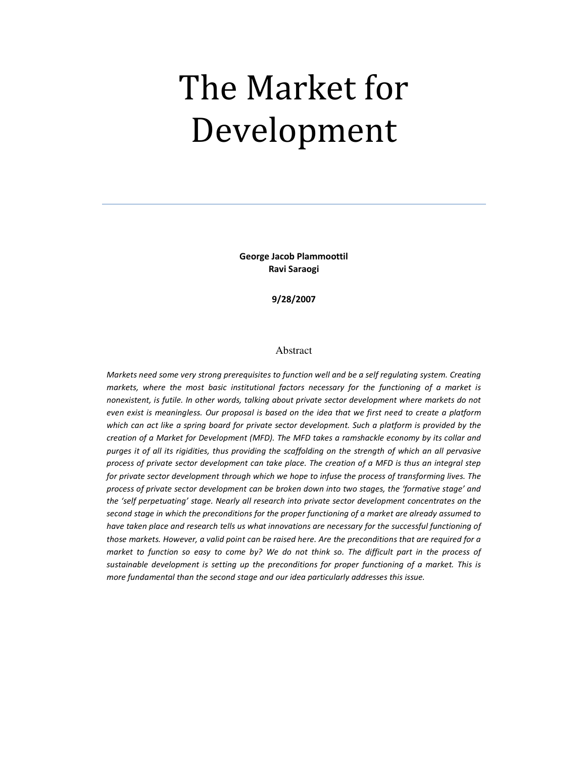# The Market for Development

George Jacob Plammoottil Ravi Saraogi

9/28/2007

#### Abstract

Markets need some very strong prerequisites to function well and be a self regulating system. Creating markets, where the most basic institutional factors necessary for the functioning of a market is nonexistent, is futile. In other words, talking about private sector development where markets do not even exist is meaningless. Our proposal is based on the idea that we first need to create a platform which can act like a spring board for private sector development. Such a platform is provided by the creation of a Market for Development (MFD). The MFD takes a ramshackle economy by its collar and purges it of all its rigidities, thus providing the scaffolding on the strength of which an all pervasive process of private sector development can take place. The creation of a MFD is thus an integral step for private sector development through which we hope to infuse the process of transforming lives. The process of private sector development can be broken down into two stages, the 'formative stage' and the 'self perpetuating' stage. Nearly all research into private sector development concentrates on the second stage in which the preconditions for the proper functioning of a market are already assumed to have taken place and research tells us what innovations are necessary for the successful functioning of those markets. However, a valid point can be raised here. Are the preconditions that are required for a market to function so easy to come by? We do not think so. The difficult part in the process of sustainable development is setting up the preconditions for proper functioning of a market. This is more fundamental than the second stage and our idea particularly addresses this issue.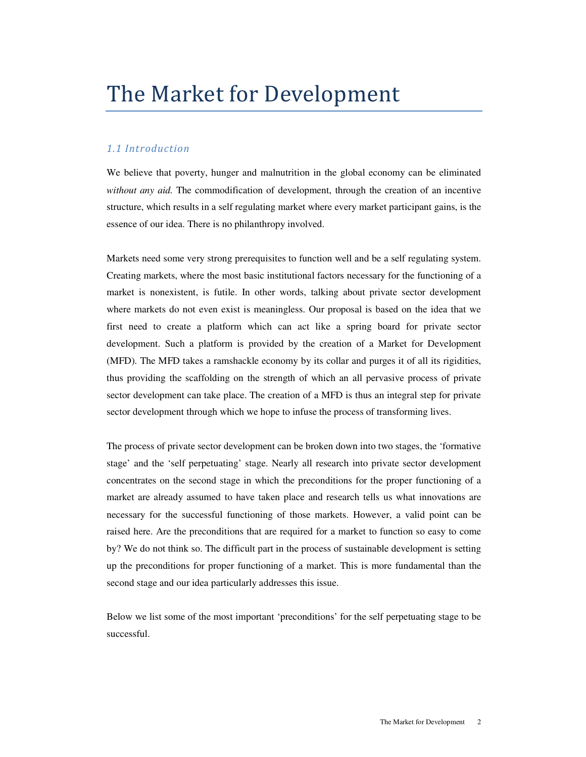## The Market for Development

#### 1.1 Introduction

We believe that poverty, hunger and malnutrition in the global economy can be eliminated *without any aid.* The commodification of development, through the creation of an incentive structure, which results in a self regulating market where every market participant gains, is the essence of our idea. There is no philanthropy involved.

Markets need some very strong prerequisites to function well and be a self regulating system. Creating markets, where the most basic institutional factors necessary for the functioning of a market is nonexistent, is futile. In other words, talking about private sector development where markets do not even exist is meaningless. Our proposal is based on the idea that we first need to create a platform which can act like a spring board for private sector development. Such a platform is provided by the creation of a Market for Development (MFD). The MFD takes a ramshackle economy by its collar and purges it of all its rigidities, thus providing the scaffolding on the strength of which an all pervasive process of private sector development can take place. The creation of a MFD is thus an integral step for private sector development through which we hope to infuse the process of transforming lives.

The process of private sector development can be broken down into two stages, the 'formative stage' and the 'self perpetuating' stage. Nearly all research into private sector development concentrates on the second stage in which the preconditions for the proper functioning of a market are already assumed to have taken place and research tells us what innovations are necessary for the successful functioning of those markets. However, a valid point can be raised here. Are the preconditions that are required for a market to function so easy to come by? We do not think so. The difficult part in the process of sustainable development is setting up the preconditions for proper functioning of a market. This is more fundamental than the second stage and our idea particularly addresses this issue.

Below we list some of the most important 'preconditions' for the self perpetuating stage to be successful.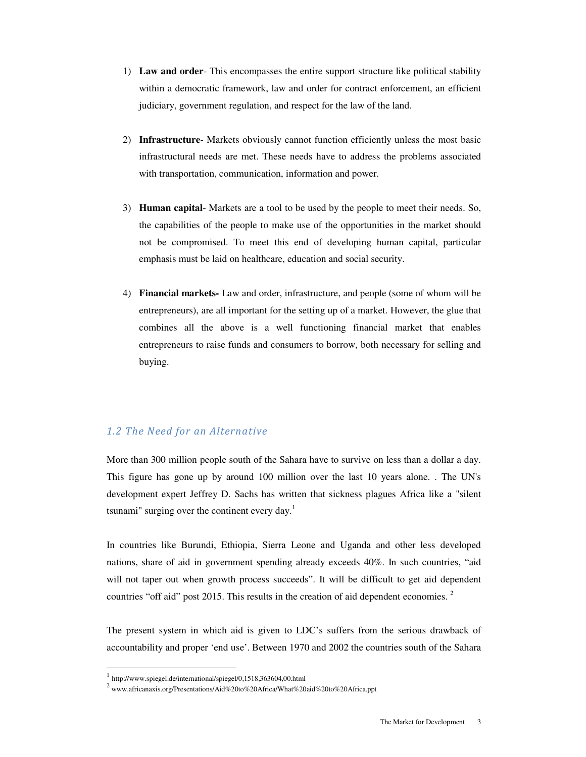- 1) **Law and order** This encompasses the entire support structure like political stability within a democratic framework, law and order for contract enforcement, an efficient judiciary, government regulation, and respect for the law of the land.
- 2) **Infrastructure** Markets obviously cannot function efficiently unless the most basic infrastructural needs are met. These needs have to address the problems associated with transportation, communication, information and power.
- 3) **Human capital** Markets are a tool to be used by the people to meet their needs. So, the capabilities of the people to make use of the opportunities in the market should not be compromised. To meet this end of developing human capital, particular emphasis must be laid on healthcare, education and social security.
- 4) **Financial markets-** Law and order, infrastructure, and people (some of whom will be entrepreneurs), are all important for the setting up of a market. However, the glue that combines all the above is a well functioning financial market that enables entrepreneurs to raise funds and consumers to borrow, both necessary for selling and buying.

#### 1.2 The Need for an Alternative

More than 300 million people south of the Sahara have to survive on less than a dollar a day. This figure has gone up by around 100 million over the last 10 years alone. . The UN's development expert Jeffrey D. Sachs has written that sickness plagues Africa like a "silent tsunami" surging over the continent every day.<sup>1</sup>

In countries like Burundi, Ethiopia, Sierra Leone and Uganda and other less developed nations, share of aid in government spending already exceeds 40%. In such countries, "aid will not taper out when growth process succeeds". It will be difficult to get aid dependent countries "off aid" post 2015. This results in the creation of aid dependent economies.<sup>2</sup>

The present system in which aid is given to LDC's suffers from the serious drawback of accountability and proper 'end use'. Between 1970 and 2002 the countries south of the Sahara

 $\overline{a}$ 

<sup>1</sup> http://www.spiegel.de/international/spiegel/0,1518,363604,00.html

<sup>&</sup>lt;sup>2</sup> www.africanaxis.org/Presentations/Aid%20to%20Africa/What%20aid%20to%20Africa.ppt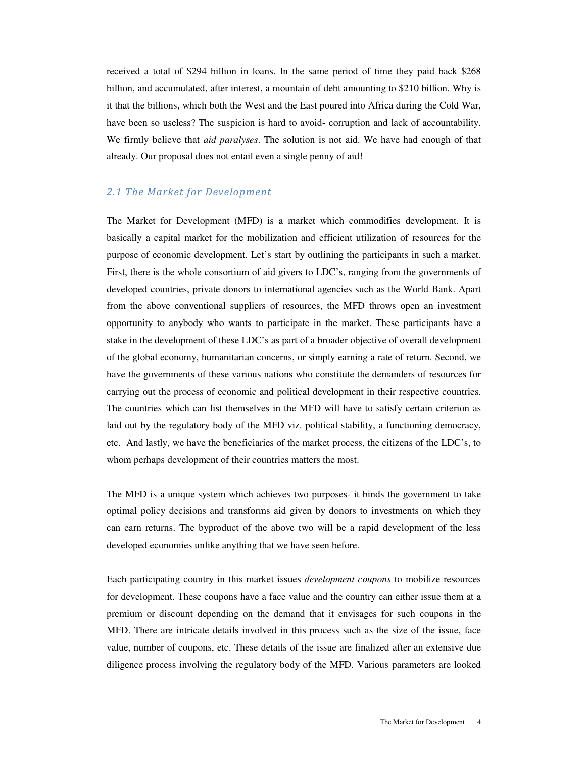received a total of \$294 billion in loans. In the same period of time they paid back \$268 billion, and accumulated, after interest, a mountain of debt amounting to \$210 billion. Why is it that the billions, which both the West and the East poured into Africa during the Cold War, have been so useless? The suspicion is hard to avoid- corruption and lack of accountability. We firmly believe that *aid paralyses*. The solution is not aid. We have had enough of that already. Our proposal does not entail even a single penny of aid!

#### 2.1 The Market for Development

The Market for Development (MFD) is a market which commodifies development. It is basically a capital market for the mobilization and efficient utilization of resources for the purpose of economic development. Let's start by outlining the participants in such a market. First, there is the whole consortium of aid givers to LDC's, ranging from the governments of developed countries, private donors to international agencies such as the World Bank. Apart from the above conventional suppliers of resources, the MFD throws open an investment opportunity to anybody who wants to participate in the market. These participants have a stake in the development of these LDC's as part of a broader objective of overall development of the global economy, humanitarian concerns, or simply earning a rate of return. Second, we have the governments of these various nations who constitute the demanders of resources for carrying out the process of economic and political development in their respective countries. The countries which can list themselves in the MFD will have to satisfy certain criterion as laid out by the regulatory body of the MFD viz. political stability, a functioning democracy, etc. And lastly, we have the beneficiaries of the market process, the citizens of the LDC's, to whom perhaps development of their countries matters the most.

The MFD is a unique system which achieves two purposes- it binds the government to take optimal policy decisions and transforms aid given by donors to investments on which they can earn returns. The byproduct of the above two will be a rapid development of the less developed economies unlike anything that we have seen before.

Each participating country in this market issues *development coupons* to mobilize resources for development. These coupons have a face value and the country can either issue them at a premium or discount depending on the demand that it envisages for such coupons in the MFD. There are intricate details involved in this process such as the size of the issue, face value, number of coupons, etc. These details of the issue are finalized after an extensive due diligence process involving the regulatory body of the MFD. Various parameters are looked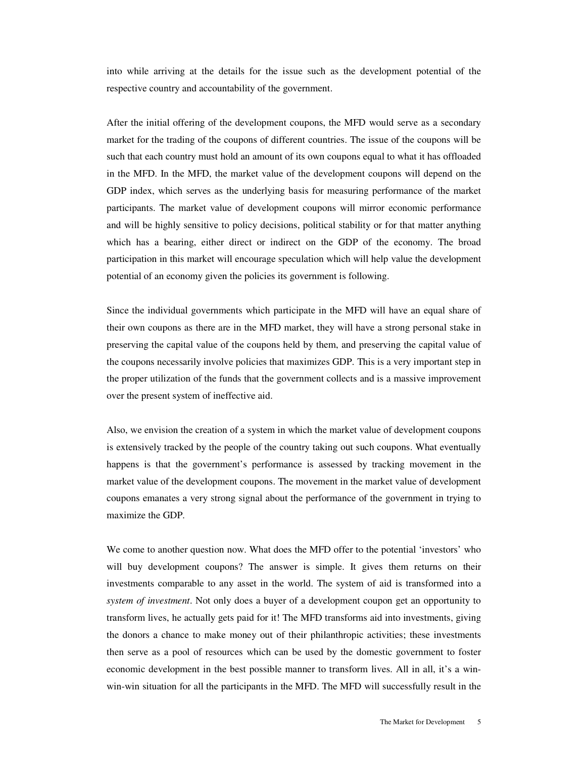into while arriving at the details for the issue such as the development potential of the respective country and accountability of the government.

After the initial offering of the development coupons, the MFD would serve as a secondary market for the trading of the coupons of different countries. The issue of the coupons will be such that each country must hold an amount of its own coupons equal to what it has offloaded in the MFD. In the MFD, the market value of the development coupons will depend on the GDP index, which serves as the underlying basis for measuring performance of the market participants. The market value of development coupons will mirror economic performance and will be highly sensitive to policy decisions, political stability or for that matter anything which has a bearing, either direct or indirect on the GDP of the economy. The broad participation in this market will encourage speculation which will help value the development potential of an economy given the policies its government is following.

Since the individual governments which participate in the MFD will have an equal share of their own coupons as there are in the MFD market, they will have a strong personal stake in preserving the capital value of the coupons held by them, and preserving the capital value of the coupons necessarily involve policies that maximizes GDP. This is a very important step in the proper utilization of the funds that the government collects and is a massive improvement over the present system of ineffective aid.

Also, we envision the creation of a system in which the market value of development coupons is extensively tracked by the people of the country taking out such coupons. What eventually happens is that the government's performance is assessed by tracking movement in the market value of the development coupons. The movement in the market value of development coupons emanates a very strong signal about the performance of the government in trying to maximize the GDP.

We come to another question now. What does the MFD offer to the potential 'investors' who will buy development coupons? The answer is simple. It gives them returns on their investments comparable to any asset in the world. The system of aid is transformed into a *system of investment*. Not only does a buyer of a development coupon get an opportunity to transform lives, he actually gets paid for it! The MFD transforms aid into investments, giving the donors a chance to make money out of their philanthropic activities; these investments then serve as a pool of resources which can be used by the domestic government to foster economic development in the best possible manner to transform lives. All in all, it's a winwin-win situation for all the participants in the MFD. The MFD will successfully result in the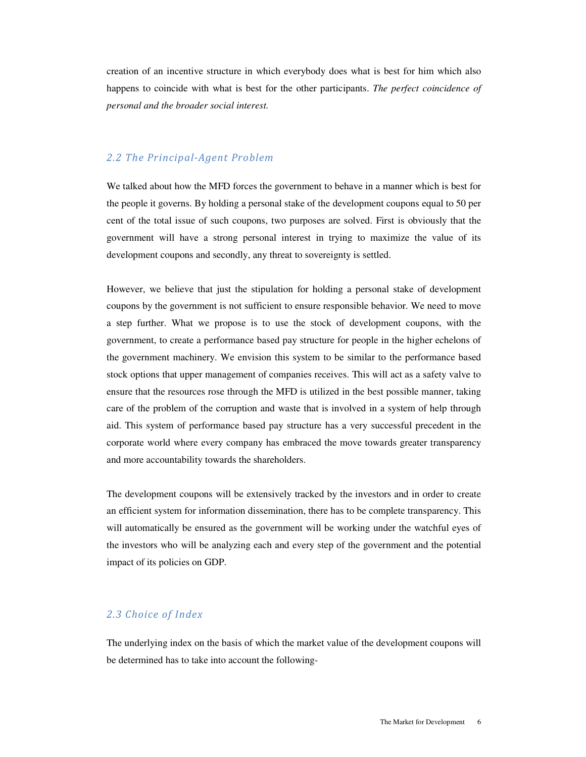creation of an incentive structure in which everybody does what is best for him which also happens to coincide with what is best for the other participants. *The perfect coincidence of personal and the broader social interest.* 

#### 2.2 The Principal-Agent Problem

We talked about how the MFD forces the government to behave in a manner which is best for the people it governs. By holding a personal stake of the development coupons equal to 50 per cent of the total issue of such coupons, two purposes are solved. First is obviously that the government will have a strong personal interest in trying to maximize the value of its development coupons and secondly, any threat to sovereignty is settled.

However, we believe that just the stipulation for holding a personal stake of development coupons by the government is not sufficient to ensure responsible behavior. We need to move a step further. What we propose is to use the stock of development coupons, with the government, to create a performance based pay structure for people in the higher echelons of the government machinery. We envision this system to be similar to the performance based stock options that upper management of companies receives. This will act as a safety valve to ensure that the resources rose through the MFD is utilized in the best possible manner, taking care of the problem of the corruption and waste that is involved in a system of help through aid. This system of performance based pay structure has a very successful precedent in the corporate world where every company has embraced the move towards greater transparency and more accountability towards the shareholders.

The development coupons will be extensively tracked by the investors and in order to create an efficient system for information dissemination, there has to be complete transparency. This will automatically be ensured as the government will be working under the watchful eyes of the investors who will be analyzing each and every step of the government and the potential impact of its policies on GDP.

#### 2.3 Choice of Index

The underlying index on the basis of which the market value of the development coupons will be determined has to take into account the following-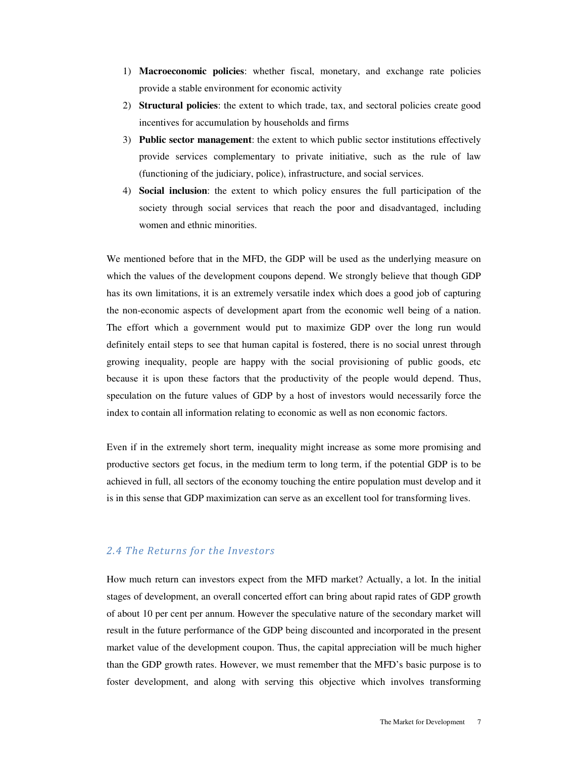- 1) **Macroeconomic policies**: whether fiscal, monetary, and exchange rate policies provide a stable environment for economic activity
- 2) **Structural policies**: the extent to which trade, tax, and sectoral policies create good incentives for accumulation by households and firms
- 3) **Public sector management**: the extent to which public sector institutions effectively provide services complementary to private initiative, such as the rule of law (functioning of the judiciary, police), infrastructure, and social services.
- 4) **Social inclusion**: the extent to which policy ensures the full participation of the society through social services that reach the poor and disadvantaged, including women and ethnic minorities.

We mentioned before that in the MFD, the GDP will be used as the underlying measure on which the values of the development coupons depend. We strongly believe that though GDP has its own limitations, it is an extremely versatile index which does a good job of capturing the non-economic aspects of development apart from the economic well being of a nation. The effort which a government would put to maximize GDP over the long run would definitely entail steps to see that human capital is fostered, there is no social unrest through growing inequality, people are happy with the social provisioning of public goods, etc because it is upon these factors that the productivity of the people would depend. Thus, speculation on the future values of GDP by a host of investors would necessarily force the index to contain all information relating to economic as well as non economic factors.

Even if in the extremely short term, inequality might increase as some more promising and productive sectors get focus, in the medium term to long term, if the potential GDP is to be achieved in full, all sectors of the economy touching the entire population must develop and it is in this sense that GDP maximization can serve as an excellent tool for transforming lives.

#### 2.4 The Returns for the Investors

How much return can investors expect from the MFD market? Actually, a lot. In the initial stages of development, an overall concerted effort can bring about rapid rates of GDP growth of about 10 per cent per annum. However the speculative nature of the secondary market will result in the future performance of the GDP being discounted and incorporated in the present market value of the development coupon. Thus, the capital appreciation will be much higher than the GDP growth rates. However, we must remember that the MFD's basic purpose is to foster development, and along with serving this objective which involves transforming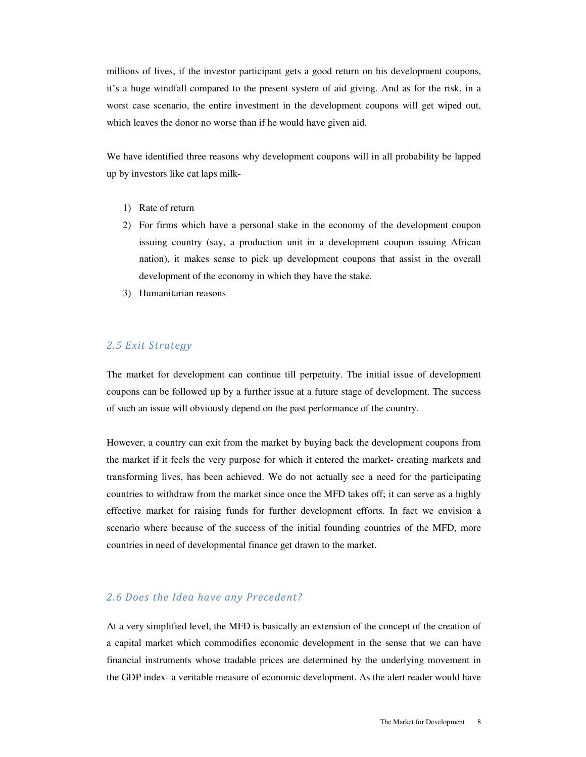millions of lives, if the investor participant gets a good return on his development coupons, it's a huge windfall compared to the present system of aid giving. And as for the risk, in a worst case scenario, the entire investment in the development coupons will get wiped out, which leaves the donor no worse than if he would have given aid.

We have identified three reasons why development coupons will in all probability be lapped up by investors like cat laps milk-

- 1) Rate of return
- 2) For firms which have a personal stake in the economy of the development coupon issuing country (say, a production unit in a development coupon issuing African nation), it makes sense to pick up development coupons that assist in the overall development of the economy in which they have the stake.
- 3) Humanitarian reasons

#### 2.5 Exit Strategy

The market for development can continue till perpetuity. The initial issue of development coupons can be followed up by a further issue at a future stage of development. The success of such an issue will obviously depend on the past performance of the country.

However, a country can exit from the market by buying back the development coupons from the market if it feels the very purpose for which it entered the market- creating markets and transforming lives, has been achieved. We do not actually see a need for the participating countries to withdraw from the market since once the MFD takes off; it can serve as a highly effective market for raising funds for further development efforts. In fact we envision a scenario where because of the success of the initial founding countries of the MFD, more countries in need of developmental finance get drawn to the market.

#### 2.6 Does the Idea have any Precedent?

At a very simplified level, the MFD is basically an extension of the concept of the creation of a capital market which commodifies economic development in the sense that we can have financial instruments whose tradable prices are determined by the underlying movement in the GDP index- a veritable measure of economic development. As the alert reader would have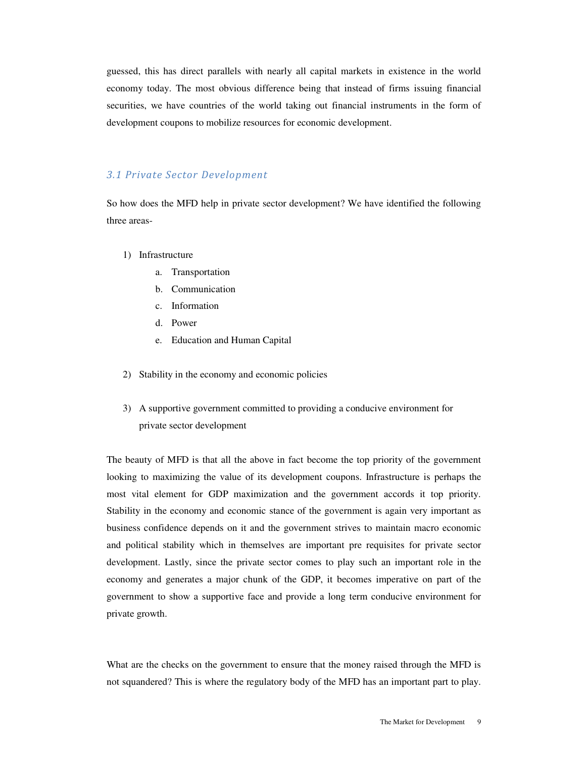guessed, this has direct parallels with nearly all capital markets in existence in the world economy today. The most obvious difference being that instead of firms issuing financial securities, we have countries of the world taking out financial instruments in the form of development coupons to mobilize resources for economic development.

#### 3.1 Private Sector Development

So how does the MFD help in private sector development? We have identified the following three areas-

- 1) Infrastructure
	- a. Transportation
	- b. Communication
	- c. Information
	- d. Power
	- e. Education and Human Capital
- 2) Stability in the economy and economic policies
- 3) A supportive government committed to providing a conducive environment for private sector development

The beauty of MFD is that all the above in fact become the top priority of the government looking to maximizing the value of its development coupons. Infrastructure is perhaps the most vital element for GDP maximization and the government accords it top priority. Stability in the economy and economic stance of the government is again very important as business confidence depends on it and the government strives to maintain macro economic and political stability which in themselves are important pre requisites for private sector development. Lastly, since the private sector comes to play such an important role in the economy and generates a major chunk of the GDP, it becomes imperative on part of the government to show a supportive face and provide a long term conducive environment for private growth.

What are the checks on the government to ensure that the money raised through the MFD is not squandered? This is where the regulatory body of the MFD has an important part to play.